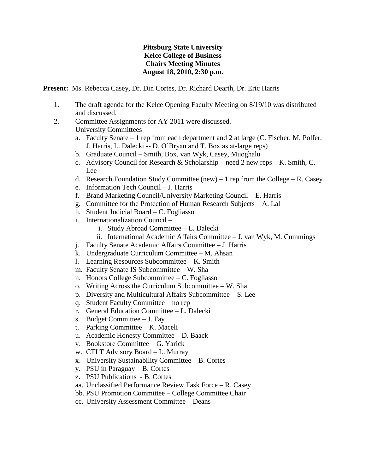## **Pittsburg State University Kelce College of Business Chairs Meeting Minutes August 18, 2010, 2:30 p.m.**

**Present:** Ms. Rebecca Casey, Dr. Din Cortes, Dr. Richard Dearth, Dr. Eric Harris

- 1. The draft agenda for the Kelce Opening Faculty Meeting on 8/19/10 was distributed and discussed.
- 2. Committee Assignments for AY 2011 were discussed. University Committees
	- a. Faculty Senate 1 rep from each department and 2 at large (C. Fischer, M. Polfer, J. Harris, L. Dalecki -- D. O'Bryan and T. Box as at-large reps)
	- b. Graduate Council Smith, Box, van Wyk, Casey, Muoghalu
	- c. Advisory Council for Research & Scholarship need 2 new reps K. Smith, C. Lee
	- d. Research Foundation Study Committee (new) 1 rep from the College R. Casey
	- e. Information Tech Council J. Harris
	- f. Brand Marketing Council/University Marketing Council E. Harris
	- g. Committee for the Protection of Human Research Subjects A. Lal
	- h. Student Judicial Board C. Fogliasso
	- i. Internationalization Council
		- i. Study Abroad Committee L. Dalecki
		- ii. International Academic Affairs Committee J. van Wyk, M. Cummings
	- j. Faculty Senate Academic Affairs Committee J. Harris
	- k. Undergraduate Curriculum Committee M. Ahsan
	- l. Learning Resources Subcommittee K. Smith
	- m. Faculty Senate IS Subcommittee W. Sha
	- n. Honors College Subcommittee C. Fogliasso
	- o. Writing Across the Curriculum Subcommittee W. Sha
	- p. Diversity and Multicultural Affairs Subcommittee S. Lee
	- q. Student Faculty Committee no rep
	- r. General Education Committee L. Dalecki
	- s. Budget Committee J. Fay
	- t. Parking Committee K. Maceli
	- u. Academic Honesty Committee D. Baack
	- v. Bookstore Committee G. Yarick
	- w. CTLT Advisory Board L. Murray
	- x. University Sustainability Committee B. Cortes
	- y. PSU in Paraguay B. Cortes
	- z. PSU Publications B. Cortes
	- aa. Unclassified Performance Review Task Force R. Casey
	- bb. PSU Promotion Committee College Committee Chair
	- cc. University Assessment Committee Deans